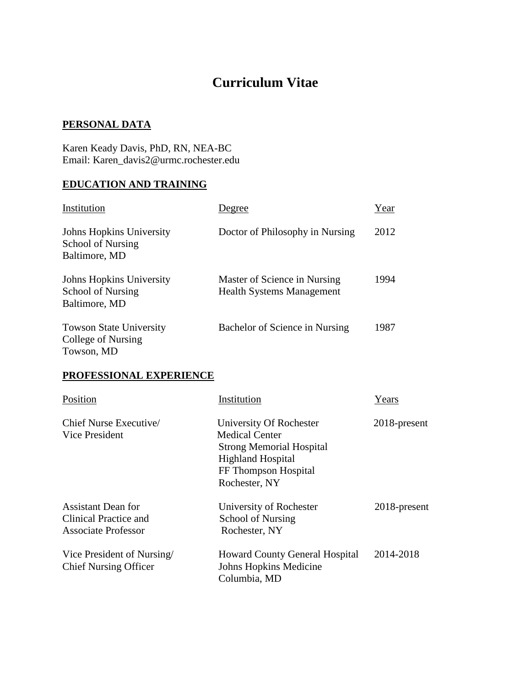# **Curriculum Vitae**

### **PERSONAL DATA**

Karen Keady Davis, PhD, RN, NEA-BC Email: Karen\_davis2@urmc.rochester.edu

### **EDUCATION AND TRAINING**

| Institution                                                           | egree                                                            | Year |
|-----------------------------------------------------------------------|------------------------------------------------------------------|------|
| Johns Hopkins University<br><b>School of Nursing</b><br>Baltimore, MD | Doctor of Philosophy in Nursing                                  | 2012 |
| Johns Hopkins University<br><b>School of Nursing</b><br>Baltimore, MD | Master of Science in Nursing<br><b>Health Systems Management</b> | 1994 |
| <b>Towson State University</b><br>College of Nursing<br>Towson, MD    | Bachelor of Science in Nursing                                   | 1987 |

### **PROFESSIONAL EXPERIENCE**

| Position                                                                         | Institution                                                                                                                                              | Years        |
|----------------------------------------------------------------------------------|----------------------------------------------------------------------------------------------------------------------------------------------------------|--------------|
| Chief Nurse Executive<br>Vice President                                          | University Of Rochester<br><b>Medical Center</b><br><b>Strong Memorial Hospital</b><br><b>Highland Hospital</b><br>FF Thompson Hospital<br>Rochester, NY | 2018-present |
| <b>Assistant Dean for</b><br>Clinical Practice and<br><b>Associate Professor</b> | University of Rochester<br><b>School of Nursing</b><br>Rochester, NY                                                                                     | 2018-present |
| Vice President of Nursing<br><b>Chief Nursing Officer</b>                        | <b>Howard County General Hospital</b><br>Johns Hopkins Medicine<br>Columbia, MD                                                                          | 2014-2018    |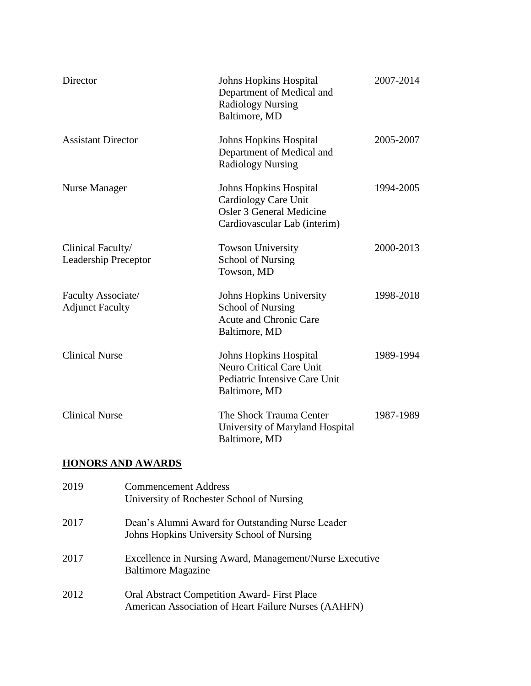| Director                                         | <b>Johns Hopkins Hospital</b><br>Department of Medical and<br><b>Radiology Nursing</b><br>Baltimore, MD                  | 2007-2014 |
|--------------------------------------------------|--------------------------------------------------------------------------------------------------------------------------|-----------|
| <b>Assistant Director</b>                        | <b>Johns Hopkins Hospital</b><br>Department of Medical and<br><b>Radiology Nursing</b>                                   | 2005-2007 |
| Nurse Manager                                    | <b>Johns Hopkins Hospital</b><br>Cardiology Care Unit<br><b>Osler 3 General Medicine</b><br>Cardiovascular Lab (interim) | 1994-2005 |
| Clinical Faculty/<br><b>Leadership Preceptor</b> | <b>Towson University</b><br><b>School of Nursing</b><br>Towson, MD                                                       | 2000-2013 |
| Faculty Associate/<br><b>Adjunct Faculty</b>     | Johns Hopkins University<br>School of Nursing<br><b>Acute and Chronic Care</b><br>Baltimore, MD                          | 1998-2018 |
| <b>Clinical Nurse</b>                            | <b>Johns Hopkins Hospital</b><br><b>Neuro Critical Care Unit</b><br>Pediatric Intensive Care Unit<br>Baltimore, MD       | 1989-1994 |
| <b>Clinical Nurse</b>                            | The Shock Trauma Center<br>University of Maryland Hospital<br>Baltimore, MD                                              | 1987-1989 |

### **HONORS AND AWARDS**

| 2019 | <b>Commencement Address</b><br>University of Rochester School of Nursing                                   |
|------|------------------------------------------------------------------------------------------------------------|
| 2017 | Dean's Alumni Award for Outstanding Nurse Leader<br>Johns Hopkins University School of Nursing             |
| 2017 | Excellence in Nursing Award, Management/Nurse Executive<br><b>Baltimore Magazine</b>                       |
| 2012 | <b>Oral Abstract Competition Award-First Place</b><br>American Association of Heart Failure Nurses (AAHFN) |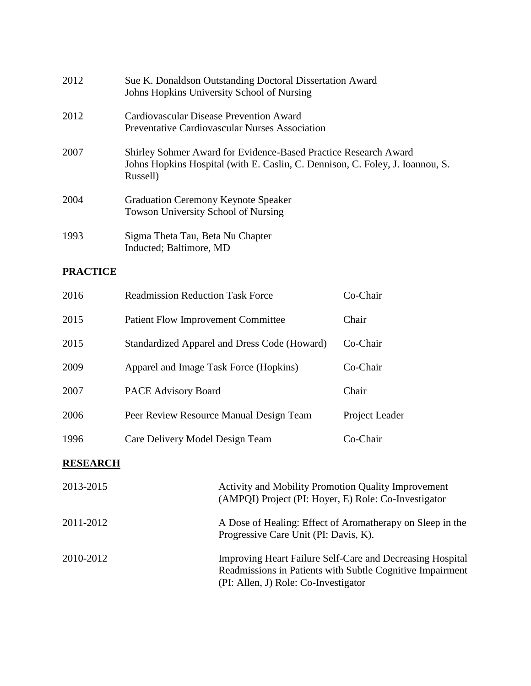| 2012 | Sue K. Donaldson Outstanding Doctoral Dissertation Award<br>Johns Hopkins University School of Nursing                                                       |
|------|--------------------------------------------------------------------------------------------------------------------------------------------------------------|
| 2012 | Cardiovascular Disease Prevention Award<br>Preventative Cardiovascular Nurses Association                                                                    |
| 2007 | Shirley Sohmer Award for Evidence-Based Practice Research Award<br>Johns Hopkins Hospital (with E. Caslin, C. Dennison, C. Foley, J. Ioannou, S.<br>Russell) |
| 2004 | <b>Graduation Ceremony Keynote Speaker</b><br><b>Towson University School of Nursing</b>                                                                     |
| 1993 | Sigma Theta Tau, Beta Nu Chapter<br>Inducted; Baltimore, MD                                                                                                  |

### **PRACTICE**

| 2016 | <b>Readmission Reduction Task Force</b>      | Co-Chair       |
|------|----------------------------------------------|----------------|
| 2015 | <b>Patient Flow Improvement Committee</b>    | Chair          |
| 2015 | Standardized Apparel and Dress Code (Howard) | Co-Chair       |
| 2009 | Apparel and Image Task Force (Hopkins)       | Co-Chair       |
| 2007 | <b>PACE Advisory Board</b>                   | Chair          |
| 2006 | Peer Review Resource Manual Design Team      | Project Leader |
| 1996 | Care Delivery Model Design Team              | Co-Chair       |

### **RESEARCH**

| 2013-2015 | <b>Activity and Mobility Promotion Quality Improvement</b><br>(AMPQI) Project (PI: Hoyer, E) Role: Co-Investigator                                             |
|-----------|----------------------------------------------------------------------------------------------------------------------------------------------------------------|
| 2011-2012 | A Dose of Healing: Effect of Aromatherapy on Sleep in the<br>Progressive Care Unit (PI: Davis, K).                                                             |
| 2010-2012 | Improving Heart Failure Self-Care and Decreasing Hospital<br>Readmissions in Patients with Subtle Cognitive Impairment<br>(PI: Allen, J) Role: Co-Investigator |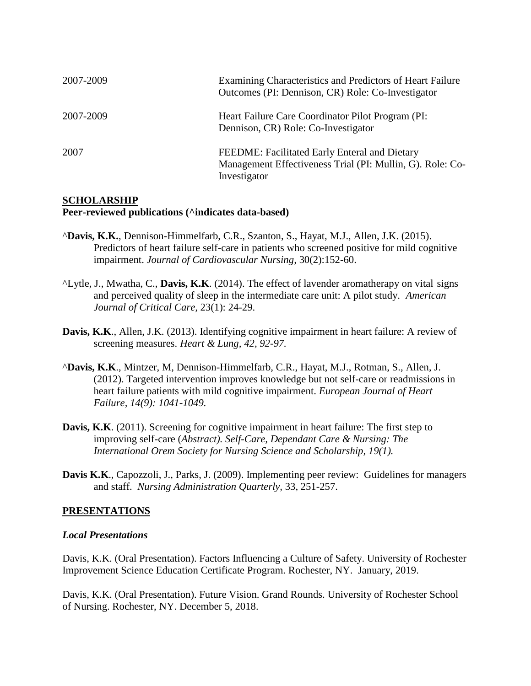| 2007-2009 | Examining Characteristics and Predictors of Heart Failure<br>Outcomes (PI: Dennison, CR) Role: Co-Investigator             |
|-----------|----------------------------------------------------------------------------------------------------------------------------|
| 2007-2009 | Heart Failure Care Coordinator Pilot Program (PI:<br>Dennison, CR) Role: Co-Investigator                                   |
| 2007      | FEEDME: Facilitated Early Enteral and Dietary<br>Management Effectiveness Trial (PI: Mullin, G). Role: Co-<br>Investigator |

#### **SCHOLARSHIP**

#### **Peer-reviewed publications (^indicates data-based)**

- ^**Davis, K.K.**, Dennison-Himmelfarb, C.R., Szanton, S., Hayat, M.J., Allen, J.K. (2015). Predictors of heart failure self-care in patients who screened positive for mild cognitive impairment. *Journal of Cardiovascular Nursing,* 30(2):152-60.
- ^Lytle, J., Mwatha, C., **Davis, K.K**. (2014). The effect of lavender aromatherapy on vital signs and perceived quality of sleep in the intermediate care unit: A pilot study. *American Journal of Critical Care,* 23(1): 24-29.
- Davis, K.K., Allen, J.K. (2013). Identifying cognitive impairment in heart failure: A review of screening measures. *Heart & Lung, 42, 92-97.*
- ^**Davis, K.K**., Mintzer, M, Dennison-Himmelfarb, C.R., Hayat, M.J., Rotman, S., Allen, J. (2012). Targeted intervention improves knowledge but not self-care or readmissions in heart failure patients with mild cognitive impairment. *European Journal of Heart Failure, 14(9): 1041-1049.*
- **Davis, K.K.** (2011). Screening for cognitive impairment in heart failure: The first step to improving self-care (*Abstract). Self-Care, Dependant Care & Nursing: The International Orem Society for Nursing Science and Scholarship, 19(1).*
- **Davis K.K**., Capozzoli, J., Parks, J. (2009). Implementing peer review: Guidelines for managers and staff. *Nursing Administration Quarterly,* 33, 251-257.

#### **PRESENTATIONS**

#### *Local Presentations*

Davis, K.K. (Oral Presentation). Factors Influencing a Culture of Safety. University of Rochester Improvement Science Education Certificate Program. Rochester, NY. January, 2019.

Davis, K.K. (Oral Presentation). Future Vision. Grand Rounds. University of Rochester School of Nursing. Rochester, NY. December 5, 2018.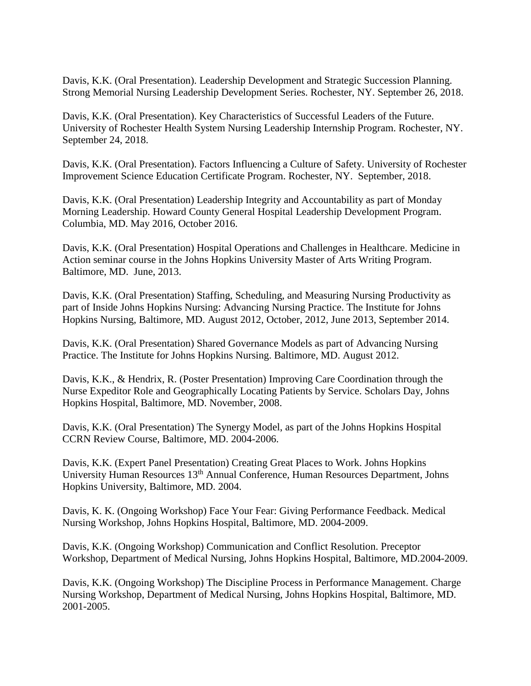Davis, K.K. (Oral Presentation). Leadership Development and Strategic Succession Planning. Strong Memorial Nursing Leadership Development Series. Rochester, NY. September 26, 2018.

Davis, K.K. (Oral Presentation). Key Characteristics of Successful Leaders of the Future. University of Rochester Health System Nursing Leadership Internship Program. Rochester, NY. September 24, 2018.

Davis, K.K. (Oral Presentation). Factors Influencing a Culture of Safety. University of Rochester Improvement Science Education Certificate Program. Rochester, NY. September, 2018.

Davis, K.K. (Oral Presentation) Leadership Integrity and Accountability as part of Monday Morning Leadership. Howard County General Hospital Leadership Development Program. Columbia, MD. May 2016, October 2016.

Davis, K.K. (Oral Presentation) Hospital Operations and Challenges in Healthcare. Medicine in Action seminar course in the Johns Hopkins University Master of Arts Writing Program. Baltimore, MD. June, 2013.

Davis, K.K. (Oral Presentation) Staffing, Scheduling, and Measuring Nursing Productivity as part of Inside Johns Hopkins Nursing: Advancing Nursing Practice. The Institute for Johns Hopkins Nursing, Baltimore, MD. August 2012, October, 2012, June 2013, September 2014.

Davis, K.K. (Oral Presentation) Shared Governance Models as part of Advancing Nursing Practice. The Institute for Johns Hopkins Nursing. Baltimore, MD. August 2012.

Davis, K.K., & Hendrix, R. (Poster Presentation) Improving Care Coordination through the Nurse Expeditor Role and Geographically Locating Patients by Service. Scholars Day, Johns Hopkins Hospital, Baltimore, MD. November, 2008.

Davis, K.K. (Oral Presentation) The Synergy Model, as part of the Johns Hopkins Hospital CCRN Review Course, Baltimore, MD. 2004-2006.

Davis, K.K. (Expert Panel Presentation) Creating Great Places to Work. Johns Hopkins University Human Resources 13th Annual Conference, Human Resources Department, Johns Hopkins University, Baltimore, MD. 2004.

Davis, K. K. (Ongoing Workshop) Face Your Fear: Giving Performance Feedback. Medical Nursing Workshop, Johns Hopkins Hospital, Baltimore, MD. 2004-2009.

Davis, K.K. (Ongoing Workshop) Communication and Conflict Resolution. Preceptor Workshop, Department of Medical Nursing, Johns Hopkins Hospital, Baltimore, MD.2004-2009.

Davis, K.K. (Ongoing Workshop) The Discipline Process in Performance Management. Charge Nursing Workshop, Department of Medical Nursing, Johns Hopkins Hospital, Baltimore, MD. 2001-2005.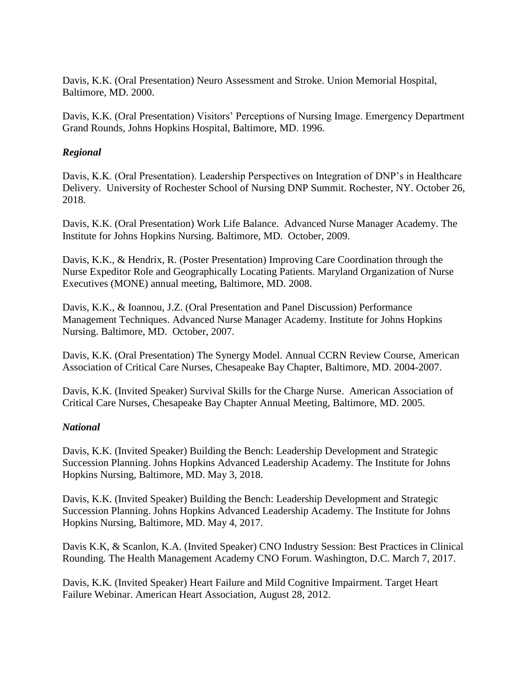Davis, K.K. (Oral Presentation) Neuro Assessment and Stroke. Union Memorial Hospital, Baltimore, MD. 2000.

Davis, K.K. (Oral Presentation) Visitors' Perceptions of Nursing Image. Emergency Department Grand Rounds, Johns Hopkins Hospital, Baltimore, MD. 1996.

#### *Regional*

Davis, K.K. (Oral Presentation). Leadership Perspectives on Integration of DNP's in Healthcare Delivery. University of Rochester School of Nursing DNP Summit. Rochester, NY. October 26, 2018.

Davis, K.K. (Oral Presentation) Work Life Balance. Advanced Nurse Manager Academy. The Institute for Johns Hopkins Nursing. Baltimore, MD. October, 2009.

Davis, K.K., & Hendrix, R. (Poster Presentation) Improving Care Coordination through the Nurse Expeditor Role and Geographically Locating Patients. Maryland Organization of Nurse Executives (MONE) annual meeting, Baltimore, MD. 2008.

Davis, K.K., & Ioannou, J.Z. (Oral Presentation and Panel Discussion) Performance Management Techniques. Advanced Nurse Manager Academy. Institute for Johns Hopkins Nursing. Baltimore, MD. October, 2007.

Davis, K.K. (Oral Presentation) The Synergy Model. Annual CCRN Review Course, American Association of Critical Care Nurses, Chesapeake Bay Chapter, Baltimore, MD. 2004-2007.

Davis, K.K. (Invited Speaker) Survival Skills for the Charge Nurse. American Association of Critical Care Nurses, Chesapeake Bay Chapter Annual Meeting, Baltimore, MD. 2005.

### *National*

Davis, K.K. (Invited Speaker) Building the Bench: Leadership Development and Strategic Succession Planning. Johns Hopkins Advanced Leadership Academy. The Institute for Johns Hopkins Nursing, Baltimore, MD. May 3, 2018.

Davis, K.K. (Invited Speaker) Building the Bench: Leadership Development and Strategic Succession Planning. Johns Hopkins Advanced Leadership Academy. The Institute for Johns Hopkins Nursing, Baltimore, MD. May 4, 2017.

Davis K.K, & Scanlon, K.A. (Invited Speaker) CNO Industry Session: Best Practices in Clinical Rounding. The Health Management Academy CNO Forum. Washington, D.C. March 7, 2017.

Davis, K.K. (Invited Speaker) Heart Failure and Mild Cognitive Impairment. Target Heart Failure Webinar. American Heart Association, August 28, 2012.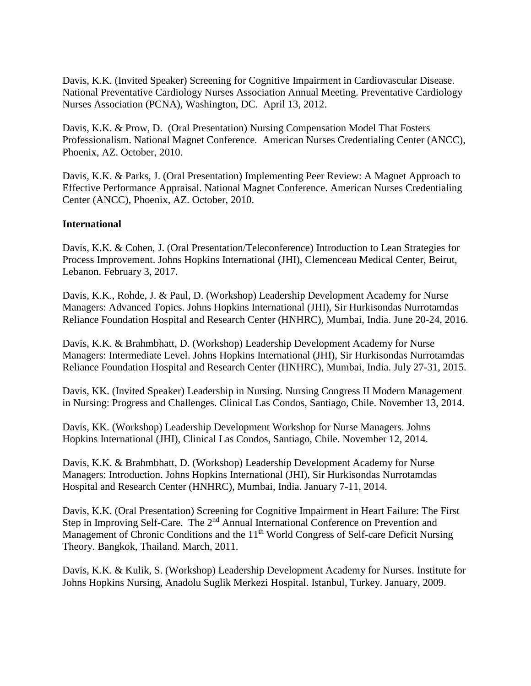Davis, K.K. (Invited Speaker) Screening for Cognitive Impairment in Cardiovascular Disease. National Preventative Cardiology Nurses Association Annual Meeting. Preventative Cardiology Nurses Association (PCNA), Washington, DC. April 13, 2012.

Davis, K.K. & Prow, D. (Oral Presentation) Nursing Compensation Model That Fosters Professionalism. National Magnet Conference. American Nurses Credentialing Center (ANCC), Phoenix, AZ. October, 2010.

Davis, K.K. & Parks, J. (Oral Presentation) Implementing Peer Review: A Magnet Approach to Effective Performance Appraisal. National Magnet Conference. American Nurses Credentialing Center (ANCC), Phoenix, AZ. October, 2010.

#### **International**

Davis, K.K. & Cohen, J. (Oral Presentation/Teleconference) Introduction to Lean Strategies for Process Improvement. Johns Hopkins International (JHI), Clemenceau Medical Center, Beirut, Lebanon. February 3, 2017.

Davis, K.K., Rohde, J. & Paul, D. (Workshop) Leadership Development Academy for Nurse Managers: Advanced Topics. Johns Hopkins International (JHI), Sir Hurkisondas Nurrotamdas Reliance Foundation Hospital and Research Center (HNHRC), Mumbai, India. June 20-24, 2016.

Davis, K.K. & Brahmbhatt, D. (Workshop) Leadership Development Academy for Nurse Managers: Intermediate Level. Johns Hopkins International (JHI), Sir Hurkisondas Nurrotamdas Reliance Foundation Hospital and Research Center (HNHRC), Mumbai, India. July 27-31, 2015.

Davis, KK. (Invited Speaker) Leadership in Nursing. Nursing Congress II Modern Management in Nursing: Progress and Challenges. Clinical Las Condos, Santiago, Chile. November 13, 2014.

Davis, KK. (Workshop) Leadership Development Workshop for Nurse Managers. Johns Hopkins International (JHI), Clinical Las Condos, Santiago, Chile. November 12, 2014.

Davis, K.K. & Brahmbhatt, D. (Workshop) Leadership Development Academy for Nurse Managers: Introduction. Johns Hopkins International (JHI), Sir Hurkisondas Nurrotamdas Hospital and Research Center (HNHRC), Mumbai, India. January 7-11, 2014.

Davis, K.K. (Oral Presentation) Screening for Cognitive Impairment in Heart Failure: The First Step in Improving Self-Care. The 2<sup>nd</sup> Annual International Conference on Prevention and Management of Chronic Conditions and the 11<sup>th</sup> World Congress of Self-care Deficit Nursing Theory. Bangkok, Thailand. March, 2011.

Davis, K.K. & Kulik, S. (Workshop) Leadership Development Academy for Nurses. Institute for Johns Hopkins Nursing, Anadolu Suglik Merkezi Hospital. Istanbul, Turkey. January, 2009.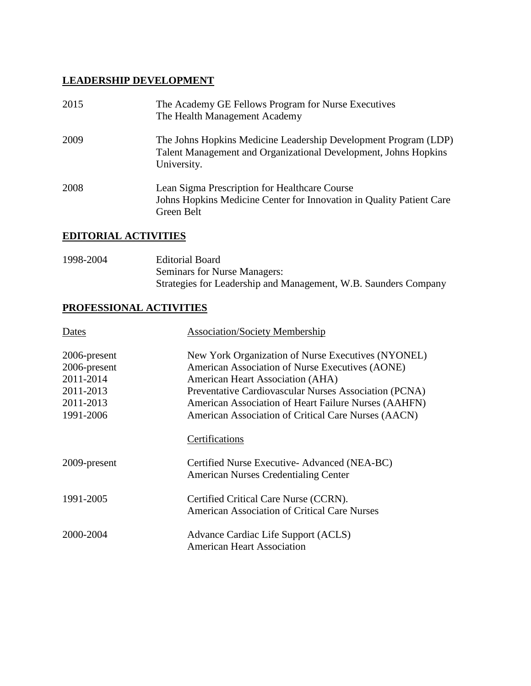### **LEADERSHIP DEVELOPMENT**

| 2015 | The Academy GE Fellows Program for Nurse Executives<br>The Health Management Academy                                                              |
|------|---------------------------------------------------------------------------------------------------------------------------------------------------|
| 2009 | The Johns Hopkins Medicine Leadership Development Program (LDP)<br>Talent Management and Organizational Development, Johns Hopkins<br>University. |
| 2008 | Lean Sigma Prescription for Healthcare Course<br>Johns Hopkins Medicine Center for Innovation in Quality Patient Care<br>Green Belt               |

### **EDITORIAL ACTIVITIES**

| 1998-2004 | Editorial Board                                                 |
|-----------|-----------------------------------------------------------------|
|           | <b>Seminars for Nurse Managers:</b>                             |
|           | Strategies for Leadership and Management, W.B. Saunders Company |

### **PROFESSIONAL ACTIVITIES**

| <b>Dates</b> | <b>Association/Society Membership</b>                                                        |
|--------------|----------------------------------------------------------------------------------------------|
| 2006-present | New York Organization of Nurse Executives (NYONEL)                                           |
| 2006-present | American Association of Nurse Executives (AONE)                                              |
| 2011-2014    | American Heart Association (AHA)                                                             |
| 2011-2013    | Preventative Cardiovascular Nurses Association (PCNA)                                        |
| 2011-2013    | American Association of Heart Failure Nurses (AAHFN)                                         |
| 1991-2006    | American Association of Critical Care Nurses (AACN)                                          |
|              | Certifications                                                                               |
| 2009-present | Certified Nurse Executive-Advanced (NEA-BC)<br><b>American Nurses Credentialing Center</b>   |
| 1991-2005    | Certified Critical Care Nurse (CCRN).<br><b>American Association of Critical Care Nurses</b> |
| 2000-2004    | Advance Cardiac Life Support (ACLS)<br><b>American Heart Association</b>                     |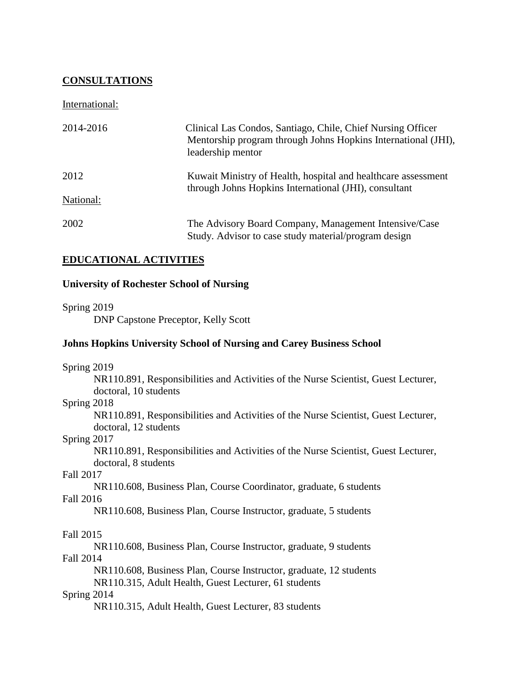### **CONSULTATIONS**

International:

| 2014-2016 | Clinical Las Condos, Santiago, Chile, Chief Nursing Officer<br>Mentorship program through Johns Hopkins International (JHI),<br>leadership mentor |
|-----------|---------------------------------------------------------------------------------------------------------------------------------------------------|
| 2012      | Kuwait Ministry of Health, hospital and healthcare assessment                                                                                     |
| National: | through Johns Hopkins International (JHI), consultant                                                                                             |
| 2002      | The Advisory Board Company, Management Intensive/Case<br>Study. Advisor to case study material/program design                                     |

### **EDUCATIONAL ACTIVITIES**

#### **University of Rochester School of Nursing**

#### Spring 2019

DNP Capstone Preceptor, Kelly Scott

#### **Johns Hopkins University School of Nursing and Carey Business School**

Spring 2019

NR110.891, Responsibilities and Activities of the Nurse Scientist, Guest Lecturer, doctoral, 10 students

#### Spring 2018

NR110.891, Responsibilities and Activities of the Nurse Scientist, Guest Lecturer, doctoral, 12 students

#### Spring 2017

NR110.891, Responsibilities and Activities of the Nurse Scientist, Guest Lecturer, doctoral, 8 students

#### Fall 2017

NR110.608, Business Plan, Course Coordinator, graduate, 6 students Fall 2016

NR110.608, Business Plan, Course Instructor, graduate, 5 students

### Fall 2015

NR110.608, Business Plan, Course Instructor, graduate, 9 students Fall 2014

NR110.608, Business Plan, Course Instructor, graduate, 12 students

NR110.315, Adult Health, Guest Lecturer, 61 students

### Spring 2014

NR110.315, Adult Health, Guest Lecturer, 83 students